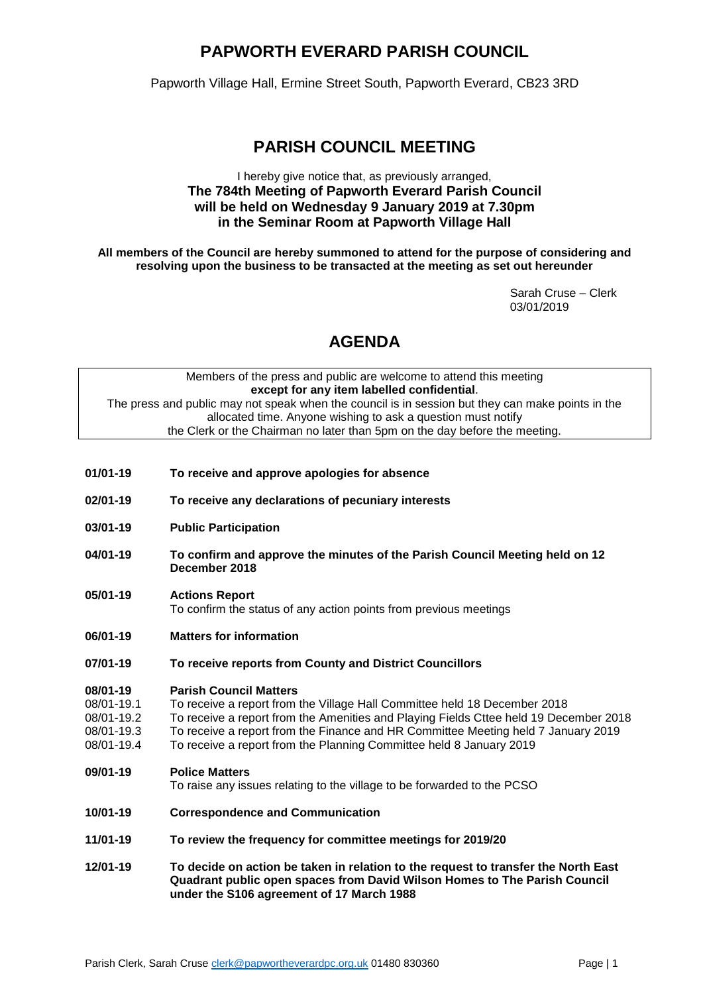## **PAPWORTH EVERARD PARISH COUNCIL**

Papworth Village Hall, Ermine Street South, Papworth Everard, CB23 3RD

### **PARISH COUNCIL MEETING**

### I hereby give notice that, as previously arranged, **The 784th Meeting of Papworth Everard Parish Council will be held on Wednesday 9 January 2019 at 7.30pm in the Seminar Room at Papworth Village Hall**

**All members of the Council are hereby summoned to attend for the purpose of considering and resolving upon the business to be transacted at the meeting as set out hereunder**

> Sarah Cruse – Clerk 03/01/2019

# **AGENDA**

| Members of the press and public are welcome to attend this meeting                                |  |
|---------------------------------------------------------------------------------------------------|--|
| except for any item labelled confidential.                                                        |  |
| The press and public may not speak when the council is in session but they can make points in the |  |
| allocated time. Anyone wishing to ask a question must notify                                      |  |
| the Clerk or the Chairman no later than 5pm on the day before the meeting.                        |  |
|                                                                                                   |  |

- **01/01-19 To receive and approve apologies for absence**
- **02/01-19 To receive any declarations of pecuniary interests**
- **03/01-19 Public Participation**
- **04/01-19 To confirm and approve the minutes of the Parish Council Meeting held on 12 December 2018**
- **05/01-19 Actions Report**  To confirm the status of any action points from previous meetings
- **06/01-19 Matters for information**
- **07/01-19 To receive reports from County and District Councillors**

# **08/01-19 Parish Council Matters**

- 08/01-19.1 To receive a report from the Village Hall Committee held 18 December 2018<br>08/01-19.2 To receive a report from the Amenities and Playing Fields Cttee held 19 Dec
- To receive a report from the Amenities and Playing Fields Cttee held 19 December 2018
- 08/01-19.3 To receive a report from the Finance and HR Committee Meeting held 7 January 2019<br>08/01-19.4 To receive a report from the Planning Committee held 8 January 2019
- To receive a report from the Planning Committee held 8 January 2019

#### **09/01-19 Police Matters**

To raise any issues relating to the village to be forwarded to the PCSO

- **10/01-19 Correspondence and Communication**
- **11/01-19 To review the frequency for committee meetings for 2019/20**
- **12/01-19 To decide on action be taken in relation to the request to transfer the North East Quadrant public open spaces from David Wilson Homes to The Parish Council under the S106 agreement of 17 March 1988**